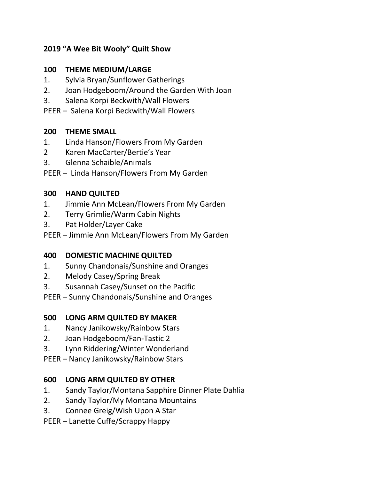# **2019 "A Wee Bit Wooly" Quilt Show**

### **100 THEME MEDIUM/LARGE**

- 1. Sylvia Bryan/Sunflower Gatherings
- 2. Joan Hodgeboom/Around the Garden With Joan
- 3. Salena Korpi Beckwith/Wall Flowers
- PEER Salena Korpi Beckwith/Wall Flowers

#### **200 THEME SMALL**

- 1. Linda Hanson/Flowers From My Garden
- 2 Karen MacCarter/Bertie's Year
- 3. Glenna Schaible/Animals
- PEER Linda Hanson/Flowers From My Garden

#### **300 HAND QUILTED**

- 1. Jimmie Ann McLean/Flowers From My Garden
- 2. Terry Grimlie/Warm Cabin Nights
- 3. Pat Holder/Layer Cake
- PEER Jimmie Ann McLean/Flowers From My Garden

# **400 DOMESTIC MACHINE QUILTED**

- 1. Sunny Chandonais/Sunshine and Oranges
- 2. Melody Casey/Spring Break
- 3. Susannah Casey/Sunset on the Pacific
- PEER Sunny Chandonais/Sunshine and Oranges

# **500 LONG ARM QUILTED BY MAKER**

- 1. Nancy Janikowsky/Rainbow Stars
- 2. Joan Hodgeboom/Fan-Tastic 2
- 3. Lynn Riddering/Winter Wonderland
- PEER Nancy Janikowsky/Rainbow Stars

# **600 LONG ARM QUILTED BY OTHER**

- 1. Sandy Taylor/Montana Sapphire Dinner Plate Dahlia
- 2. Sandy Taylor/My Montana Mountains
- 3. Connee Greig/Wish Upon A Star
- PEER Lanette Cuffe/Scrappy Happy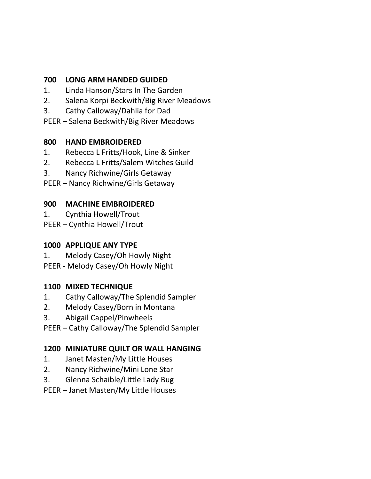#### **700 LONG ARM HANDED GUIDED**

- 1. Linda Hanson/Stars In The Garden
- 2. Salena Korpi Beckwith/Big River Meadows
- 3. Cathy Calloway/Dahlia for Dad
- PEER Salena Beckwith/Big River Meadows

#### **800 HAND EMBROIDERED**

- 1. Rebecca L Fritts/Hook, Line & Sinker
- 2. Rebecca L Fritts/Salem Witches Guild
- 3. Nancy Richwine/Girls Getaway
- PEER Nancy Richwine/Girls Getaway

#### **900 MACHINE EMBROIDERED**

- 1. Cynthia Howell/Trout
- PEER Cynthia Howell/Trout

# **1000 APPLIQUE ANY TYPE**

- 1. Melody Casey/Oh Howly Night
- PEER Melody Casey/Oh Howly Night

# **1100 MIXED TECHNIQUE**

- 1. Cathy Calloway/The Splendid Sampler
- 2. Melody Casey/Born in Montana
- 3. Abigail Cappel/Pinwheels
- PEER Cathy Calloway/The Splendid Sampler

# **1200 MINIATURE QUILT OR WALL HANGING**

- 1. Janet Masten/My Little Houses
- 2. Nancy Richwine/Mini Lone Star
- 3. Glenna Schaible/Little Lady Bug

PEER – Janet Masten/My Little Houses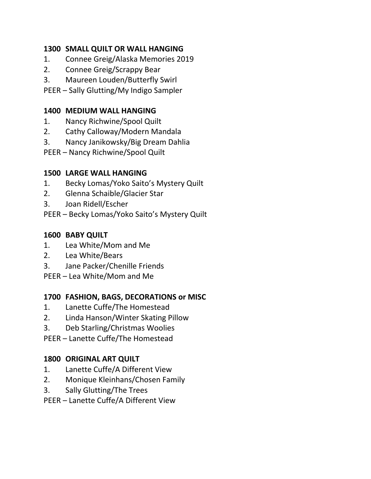# **1300 SMALL QUILT OR WALL HANGING**

- 1. Connee Greig/Alaska Memories 2019
- 2. Connee Greig/Scrappy Bear
- 3. Maureen Louden/Butterfly Swirl

PEER – Sally Glutting/My Indigo Sampler

#### **1400 MEDIUM WALL HANGING**

- 1. Nancy Richwine/Spool Quilt
- 2. Cathy Calloway/Modern Mandala
- 3. Nancy Janikowsky/Big Dream Dahlia
- PEER Nancy Richwine/Spool Quilt

# **1500 LARGE WALL HANGING**

- 1. Becky Lomas/Yoko Saito's Mystery Quilt
- 2. Glenna Schaible/Glacier Star
- 3. Joan Ridell/Escher
- PEER Becky Lomas/Yoko Saito's Mystery Quilt

# **1600 BABY QUILT**

- 1. Lea White/Mom and Me
- 2. Lea White/Bears
- 3. Jane Packer/Chenille Friends
- PEER Lea White/Mom and Me

# **1700 FASHION, BAGS, DECORATIONS or MISC**

- 1. Lanette Cuffe/The Homestead
- 2. Linda Hanson/Winter Skating Pillow
- 3. Deb Starling/Christmas Woolies
- PEER Lanette Cuffe/The Homestead

#### **1800 ORIGINAL ART QUILT**

- 1. Lanette Cuffe/A Different View
- 2. Monique Kleinhans/Chosen Family
- 3. Sally Glutting/The Trees
- PEER Lanette Cuffe/A Different View